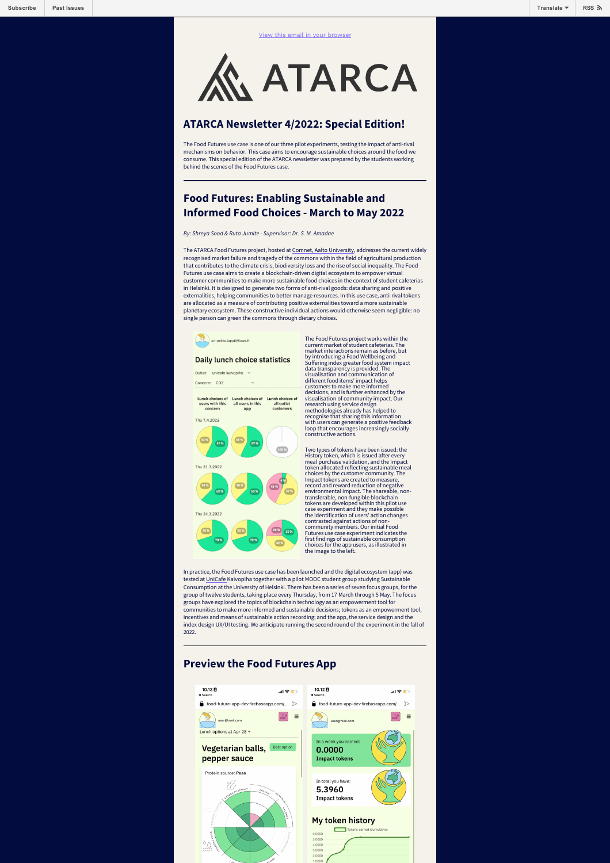**ATARCA** 

## **ATARCA Newsletter 4/2022: Special Edition!**

The Food Futures use case is one of our three pilot experiments, testing the impact of anti-rival mechanisms on behavior. This case aims to encourage sustainable choices around the food we consume. This special edition of the ATARCA newsletter was prepared by the students working behind the scenes of the Food Futures case.

## **Food Futures: Enabling Sustainable and Informed Food Choices - March to May 2022**

*By: Shreya Sood & Ruta Jumite - Supervisor: Dr. S. M. Amadae*

The ATARCA Food Futures project, hosted at [Comnet, Aalto University](https://www.aalto.fi/en/department-of-communications-and-networking), addresses the current widely recognised market failure and tragedy of the commons within the field of agricultural production that contributes to the climate crisis, biodiversity loss and the rise of social inequality. The Food Futures use case aims to create a blockchain-driven digital ecosystem to empower virtual customer communities to make more sustainable food choices in the context of student cafeterias in Helsinki. It is designed to generate two forms of anti-rival goods: data sharing and positive externalities, helping communities to better manage resources. In this use case, anti-rival tokens are allocated as a measure of contributing positive externalities toward a more sustainable planetary ecosystem. These constructive individual actions would otherwise seem negligible: no single person can green the commons through dietary choices.



## **Daily lunch choice statistics**

Outlet: unicafe kaivooiha Concern: CO2

Lunch choices of Lunch choices of Lunch choices of<br>users with this all users in this all outlet<br>concern app customers



The Food Futures project works within the current market of student cafeterias. The market interactions remain as before, but by introducing a Food Wellbeing and Suffering index greater food system impact data transparency is provided. The visualisation and communication of different food items' impact helps customers to make more informed decisions, and is further enhanced by the visualisation of community impact. Our research using service design methodologies already has helped to recognise that sharing this information with users can generate a positive feedback loop that encourages increasingly socially constructive actions.

Two types of tokens have been issued: the History token, which is issued after every<br>meal purchase validation, and the Impact meal purchase validation, and the Impact<br>token allocated reflecting sustainable meal<br>choices by the customer community. The<br>Impact tokens are created to measure,<br>record and reward reduction of negative<br>environmental impact contrasted against actions of noncommunity members. Our initial Food Futures use case experiment indicates the first findings of sustainable consumption choices for the app users, as illustrated in the image to the left.

In practice, the Food Futures use case has been launched and the digital ecosystem (app) was tested at [UniCafe K](https://unicafe.fi/en/)aivopiha together with a pilot MOOC student group studying Sustainable Consumption at the University of Helsinki. There has been a series of seven focus groups, for the group of twelve students, taking place every Thursday, from 17 March through 5 May. The focus groups have explored the topics of blockchain technology as an empowerment tool for communities to make more informed and sustainable decisions; tokens as an empowerment tool, incentives and means of sustainable action recording; and the app, the service design and the index design UX/UI testing. We anticipate running the second round of the experiment in the fall of 2022.

## **Preview the Food Futures App**